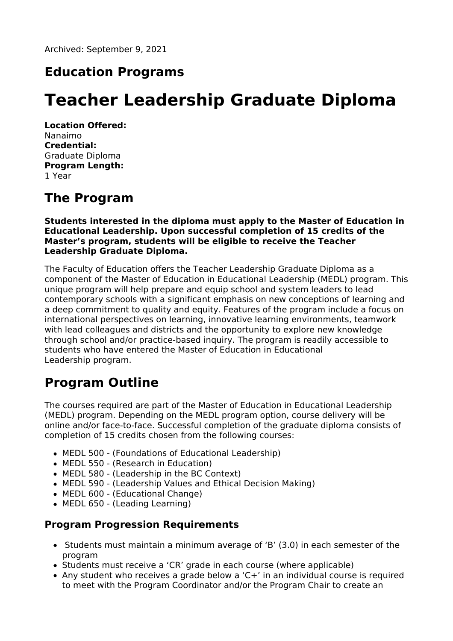# **Education Programs**

# **Teacher Leadership Graduate Diploma**

**Location Offered:** Nanaimo **Credential:** Graduate Diploma **Program Length:** 1 Year

## **The Program**

**Students interested in the diploma must apply to the Master of Education in Educational Leadership. Upon successful completion of 15 credits of the Master's program, students will be eligible to receive the Teacher Leadership Graduate Diploma.**

The Faculty of Education offers the Teacher Leadership Graduate Diploma as a component of the Master of Education in Educational Leadership (MEDL) program. This unique program will help prepare and equip school and system leaders to lead contemporary schools with a significant emphasis on new conceptions of learning and a deep commitment to quality and equity. Features of the program include a focus on international perspectives on learning, innovative learning environments, teamwork with lead colleagues and districts and the opportunity to explore new knowledge through school and/or practice-based inquiry. The program is readily accessible to students who have entered the Master of Education in Educational Leadership program.

# **Program Outline**

The courses required are part of the Master of Education in Educational Leadership (MEDL) program. Depending on the MEDL program option, course delivery will be online and/or face-to-face. Successful completion of the graduate diploma consists of completion of 15 credits chosen from the following courses:

- MEDL 500 (Foundations of Educational Leadership)
- MEDL 550 (Research in Education)
- MEDL 580 (Leadership in the BC Context)
- MEDL 590 (Leadership Values and Ethical Decision Making)
- MEDL 600 (Educational Change)
- MEDL 650 (Leading Learning)

#### **Program Progression Requirements**

- Students must maintain a minimum average of 'B' (3.0) in each semester of the program
- Students must receive a 'CR' grade in each course (where applicable)
- Any student who receives a grade below a 'C+' in an individual course is required to meet with the Program Coordinator and/or the Program Chair to create an